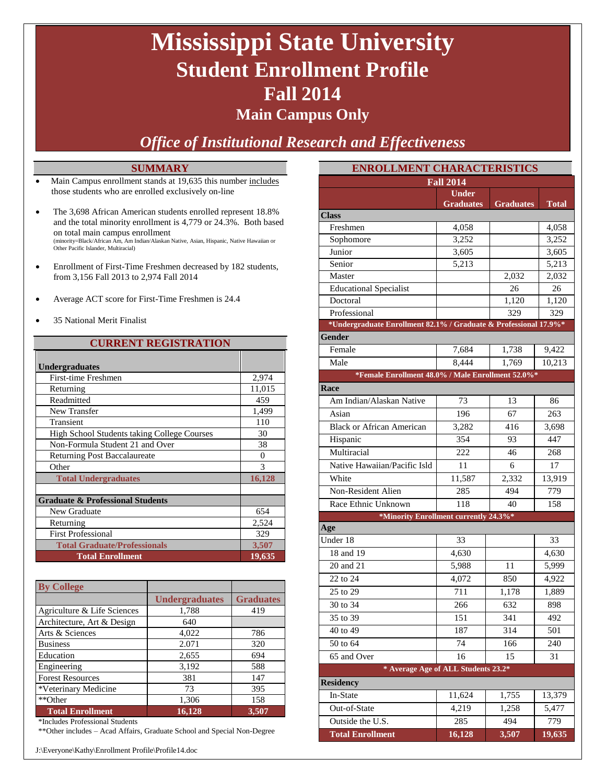# **Mississippi State University Student Enrollment Profile Fall 2014**

### **Main Campus Only**

*Office of Institutional Research and Effectiveness*

#### **SUMMARY**

- Main Campus enrollment stands at 19,635 this number includes those students who are enrolled exclusively on-line
- The 3,698 African American students enrolled represent 18.8% and the total minority enrollment is 4,779 or 24.3%. Both based on total main campus enrollment (minority=Black/African Am, Am Indian/Alaskan Native, Asian, Hispanic, Native Hawaiian or Other Pacific Islander, Multiracial)
- Enrollment of First-Time Freshmen decreased by 182 students, from 3,156 Fall 2013 to 2,974 Fall 2014
- Average ACT score for First-Time Freshmen is 24.4
- 35 National Merit Finalist

#### **CURRENT REGISTRATION**

| <b>Undergraduates</b>                       |          |
|---------------------------------------------|----------|
| First-time Freshmen                         | 2,974    |
| Returning                                   | 11,015   |
| Readmitted                                  | 459      |
| New Transfer                                | 1,499    |
| Transient                                   | 110      |
| High School Students taking College Courses | 30       |
| Non-Formula Student 21 and Over             | 38       |
| <b>Returning Post Baccalaureate</b>         | $\Omega$ |
| Other                                       | 3        |
| <b>Total Undergraduates</b>                 | 16,128   |
|                                             |          |
| <b>Graduate &amp; Professional Students</b> |          |
| New Graduate                                | 654      |
| Returning                                   | 2,524    |
| <b>First Professional</b>                   | 329      |
| <b>Total Graduate/Professionals</b>         | 3,507    |
| <b>Total Enrollment</b>                     | 19,635   |

| <b>By College</b>           |                       |                  |
|-----------------------------|-----------------------|------------------|
|                             | <b>Undergraduates</b> | <b>Graduates</b> |
| Agriculture & Life Sciences | 1,788                 | 419              |
| Architecture, Art & Design  | 640                   |                  |
| Arts & Sciences             | 4,022                 | 786              |
| <b>Business</b>             | 2.071                 | 320              |
| Education                   | 2,655                 | 694              |
| Engineering                 | 3,192                 | 588              |
| <b>Forest Resources</b>     | 381                   | 147              |
| *Veterinary Medicine        | 73                    | 395              |
| **Other                     | 1,306                 | 158              |
| <b>Total Enrollment</b>     | 16,128                | 3,507            |

\*Includes Professional Students

\*\*Other includes – Acad Affairs, Graduate School and Special Non-Degree

J:\Everyone\Kathy\Enrollment Profile\Profile14.doc

| <b>ENROLLMENT CHARACTERISTICS</b>                                |                  |                    |              |  |  |  |
|------------------------------------------------------------------|------------------|--------------------|--------------|--|--|--|
| <b>Fall 2014</b>                                                 |                  |                    |              |  |  |  |
|                                                                  | <b>Under</b>     |                    |              |  |  |  |
| <b>Class</b>                                                     | <b>Graduates</b> | <b>Graduates</b>   | <b>Total</b> |  |  |  |
| Freshmen                                                         | 4.058            |                    | 4,058        |  |  |  |
| Sophomore                                                        | 3,252            |                    | 3,252        |  |  |  |
| Junior                                                           | 3,605            |                    | 3,605        |  |  |  |
| Senior                                                           | 5,213            |                    | 5,213        |  |  |  |
| Master                                                           |                  | 2,032              | 2,032        |  |  |  |
| <b>Educational Specialist</b>                                    |                  | 26                 | 26           |  |  |  |
| Doctoral                                                         |                  | 1,120              | 1,120        |  |  |  |
| Professional                                                     |                  | 329                | 329          |  |  |  |
| *Undergraduate Enrollment 82.1% / Graduate & Professional 17.9%* |                  |                    |              |  |  |  |
| Gender                                                           |                  |                    |              |  |  |  |
| Female                                                           | 7,684            | 1,738              | 9,422        |  |  |  |
| Male                                                             | 8,444            | $\overline{1,769}$ | 10,213       |  |  |  |
| *Female Enrollment 48.0% / Male Enrollment 52.0%*                |                  |                    |              |  |  |  |
| Race                                                             |                  |                    |              |  |  |  |
| Am Indian/Alaskan Native                                         | 73               | 13                 | 86           |  |  |  |
| Asian                                                            | 196              | 67                 | 263          |  |  |  |
| <b>Black or African American</b>                                 | 3,282            | 416                | 3,698        |  |  |  |
| Hispanic                                                         | 354              | 93                 | 447          |  |  |  |
| Multiracial                                                      | 222              | 46                 | 268          |  |  |  |
| Native Hawaiian/Pacific Isld                                     | 11               | 6                  | 17           |  |  |  |
| White                                                            | 11,587           | 2,332              | 13,919       |  |  |  |
| Non-Resident Alien                                               | 285              | 494                | 779          |  |  |  |
| Race Ethnic Unknown                                              | 118              | 40                 | 158          |  |  |  |
| *Minority Enrollment currently 24.3%*                            |                  |                    |              |  |  |  |
| Age                                                              |                  |                    |              |  |  |  |
| Under 18                                                         | 33               |                    | 33           |  |  |  |
| 18 and 19                                                        | 4,630            |                    | 4,630        |  |  |  |
| 20 and 21                                                        | 5,988            | 11                 | 5,999        |  |  |  |
| 22 to 24                                                         | 4,072            | 850                | 4,922        |  |  |  |
| 25 to 29                                                         | 711              | 1,178              | 1,889        |  |  |  |
| 30 to 34                                                         | 266              | 632                | 898          |  |  |  |
| 35 to 39                                                         | 151              | 341                | 492          |  |  |  |
| 40 to 49                                                         | 187              | 314                | 501          |  |  |  |
| 50 to 64                                                         | 74               | 166                | 240          |  |  |  |
| 65 and Over                                                      | 16               | 15                 | 31           |  |  |  |
| * Average Age of ALL Students 23.2*                              |                  |                    |              |  |  |  |
| <b>Residency</b>                                                 |                  |                    |              |  |  |  |
| In-State                                                         | 11,624           | 1,755              | 13,379       |  |  |  |
| Out-of-State                                                     | 4,219            | 1,258              | 5,477        |  |  |  |
| Outside the U.S.                                                 | 285              | 494                | 779          |  |  |  |
| <b>Total Enrollment</b>                                          | 16,128           | 3,507              | 19,635       |  |  |  |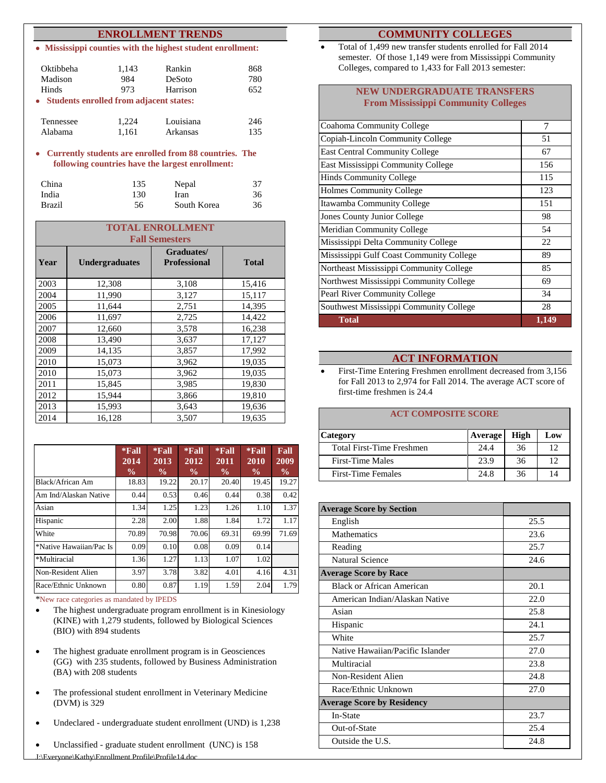#### **ENROLLMENT TRENDS**

**Mississippi counties with the highest student enrollment:**

| Oktibbeha<br>Madison                      | 1,143<br>984 | Rankin<br>DeSoto | 868<br>780 |
|-------------------------------------------|--------------|------------------|------------|
| Hinds                                     | 973          | Harrison         | 652        |
| • Students enrolled from adjacent states: |              |                  |            |
| Tennessee                                 | 1.224        | Louisiana        | 246        |
| Alabama                                   | 1.161        | Arkansas         | 135        |

**Currently students are enrolled from 88 countries. The following countries have the largest enrollment:**

| China         | 135 | Nepal       | 37 |
|---------------|-----|-------------|----|
| India         | 130 | Iran        | 36 |
| <b>Brazil</b> | 56  | South Korea | 36 |

| <b>TOTAL ENROLLMENT</b><br><b>Fall Semesters</b> |                       |                                   |              |  |  |
|--------------------------------------------------|-----------------------|-----------------------------------|--------------|--|--|
| Year                                             | <b>Undergraduates</b> | Graduates/<br><b>Professional</b> | <b>Total</b> |  |  |
| 2003                                             | 12,308                | 3,108                             | 15,416       |  |  |
| 2004                                             | 11,990                | 3,127                             | 15,117       |  |  |
| 2005                                             | 11,644                | 2,751                             | 14,395       |  |  |
| 2006                                             | 11,697                | 2,725                             | 14,422       |  |  |
| 2007                                             | 12,660                | 3,578                             | 16,238       |  |  |
| 2008                                             | 13,490                | 3,637                             | 17,127       |  |  |
| 2009                                             | 14,135                | 3,857                             | 17,992       |  |  |
| 2010                                             | 15,073                | 3,962                             | 19,035       |  |  |
| 2010                                             | 15,073                | 3,962                             | 19,035       |  |  |
| 2011                                             | 15,845                | 3,985                             | 19,830       |  |  |
| 2012                                             | 15,944                | 3,866                             | 19,810       |  |  |
| 2013                                             | 15,993                | 3,643                             | 19,636       |  |  |
| 2014                                             | 16,128                | 3,507                             | 19,635       |  |  |

|                         | $*$ Fall<br>$20\overline{14}$<br>$\frac{0}{0}$ | $*$ Fall<br>2013<br>$\frac{0}{0}$ | $*$ Fall<br>2012<br>$\frac{6}{9}$ | $*$ Fall<br>2011<br>$\frac{0}{0}$ | $*$ Fall<br>2010<br>$\frac{0}{0}$ | Fall<br>2009<br>$\frac{6}{9}$ |
|-------------------------|------------------------------------------------|-----------------------------------|-----------------------------------|-----------------------------------|-----------------------------------|-------------------------------|
| Black/African Am        | 18.83                                          | 19.22                             | 20.17                             | 20.40                             | 19.45                             | 19.27                         |
| Am Ind/Alaskan Native   | 0.44                                           | 0.53                              | 0.46                              | 0.44                              | 0.38                              | 0.42                          |
| Asian                   | 1.34                                           | 1.25                              | 1.23                              | 1.26                              | 1.10                              | 1.37                          |
| Hispanic                | 2.28                                           | 2.00                              | 1.88                              | 1.84                              | 1.72                              | 1.17                          |
| White                   | 70.89                                          | 70.98                             | 70.06                             | 69.31                             | 69.99                             | 71.69                         |
| *Native Hawaiian/Pac Is | 0.09                                           | 0.10                              | 0.08                              | 0.09                              | 0.14                              |                               |
| *Multiracial            | 1.36                                           | 1.27                              | 1.13                              | 1.07                              | 1.02                              |                               |
| Non-Resident Alien      | 3.97                                           | 3.78                              | 3.82                              | 4.01                              | 4.16                              | 4.31                          |
| Race/Ethnic Unknown     | 0.80                                           | 0.87                              | 1.19                              | 1.59                              | 2.04                              | 1.79                          |

\*New race categories as mandated by IPEDS

- The highest undergraduate program enrollment is in Kinesiology (KINE) with 1,279 students, followed by Biological Sciences (BIO) with 894 students
- The highest graduate enrollment program is in Geosciences (GG) with 235 students, followed by Business Administration (BA) with 208 students
- The professional student enrollment in Veterinary Medicine (DVM) is 329
- Undeclared undergraduate student enrollment (UND) is 1,238
- Unclassified graduate student enrollment (UNC) is 158

#### **COMMUNITY COLLEGES**

 Total of 1,499 new transfer students enrolled for Fall 2014 semester. Of those 1,149 were from Mississippi Community Colleges, compared to 1,433 for Fall 2013 semester:

#### **NEW UNDERGRADUATE TRANSFERS From Mississippi Community Colleges**

| Coahoma Community College                | 7            |
|------------------------------------------|--------------|
| Copiah-Lincoln Community College         | 51           |
| <b>East Central Community College</b>    | 67           |
| East Mississippi Community College       | 156          |
| <b>Hinds Community College</b>           | 115          |
| <b>Holmes Community College</b>          | 123          |
| Itawamba Community College               | 151          |
| Jones County Junior College              | 98           |
| <b>Meridian Community College</b>        | 54           |
| Mississippi Delta Community College      | 22           |
| Mississippi Gulf Coast Community College | 89           |
| Northeast Mississippi Community College  | 85           |
| Northwest Mississippi Community College  | 69           |
| Pearl River Community College            | 34           |
| Southwest Mississippi Community College  | 28           |
| <b>Total</b>                             | <u>1,149</u> |

#### **ACT INFORMATION**

• First-Time Entering Freshmen enrollment decreased from 3,156 for Fall 2013 to 2,974 for Fall 2014. The average ACT score of first-time freshmen is 24.4

#### **ACT COMPOSITE SCORE**

| Category                  | Average | High | Low |
|---------------------------|---------|------|-----|
| Total First-Time Freshmen | 24.4    | 36   | 12  |
| <b>First-Time Males</b>   | 23.9    | 36   | 12  |
| <b>First-Time Females</b> | 24.8    | 36   | 14  |

| <b>Average Score by Section</b>   |      |
|-----------------------------------|------|
| English                           | 25.5 |
| <b>Mathematics</b>                | 23.6 |
| Reading                           | 25.7 |
| <b>Natural Science</b>            | 24.6 |
| <b>Average Score by Race</b>      |      |
| <b>Black or African American</b>  | 20.1 |
| American Indian/Alaskan Native    | 22.0 |
| Asian                             | 25.8 |
| Hispanic                          | 24.1 |
| White                             | 25.7 |
| Native Hawaiian/Pacific Islander  | 27.0 |
| Multiracial                       | 23.8 |
| Non-Resident Alien                | 24.8 |
| Race/Ethnic Unknown               | 27.0 |
| <b>Average Score by Residency</b> |      |
| In-State                          | 23.7 |
| Out-of-State                      | 25.4 |
| Outside the U.S.                  | 24.8 |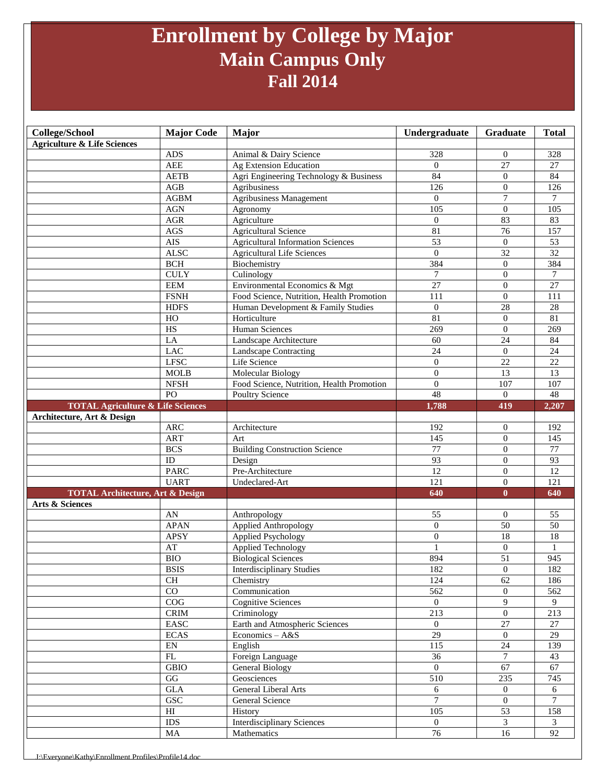### **Enrollment by College by Major Main Campus Only Fall 2014**

| College/School                               | <b>Major Code</b>          | <b>Major</b>                              | Undergraduate         | Graduate                         | <b>Total</b>          |
|----------------------------------------------|----------------------------|-------------------------------------------|-----------------------|----------------------------------|-----------------------|
| <b>Agriculture &amp; Life Sciences</b>       |                            |                                           |                       |                                  |                       |
|                                              | <b>ADS</b>                 | Animal & Dairy Science                    | 328                   | 0                                | 328                   |
|                                              | <b>AEE</b>                 | Ag Extension Education                    | $\Omega$              | $\overline{27}$                  | 27                    |
|                                              | <b>AETB</b>                | Agri Engineering Technology & Business    | 84                    | $\Omega$                         | 84                    |
|                                              | AGB                        | Agribusiness                              | 126                   | $\Omega$                         | 126                   |
|                                              | <b>AGBM</b>                | <b>Agribusiness Management</b>            | $\overline{0}$        | $\tau$                           | $\tau$                |
|                                              | <b>AGN</b>                 | Agronomy                                  | 105                   | $\theta$                         | 105                   |
|                                              | $\rm{AGR}$                 | Agriculture                               | $\theta$              | 83                               | 83                    |
|                                              | AGS                        | <b>Agricultural Science</b>               | 81                    | 76                               | 157                   |
|                                              | AIS                        | <b>Agricultural Information Sciences</b>  | 53                    | $\mathbf{0}$                     | 53                    |
|                                              | <b>ALSC</b>                | <b>Agricultural Life Sciences</b>         | $\Omega$              | $\overline{32}$                  | $\overline{32}$       |
|                                              | $\operatorname{BCH}$       | Biochemistry                              | 384                   | $\overline{0}$                   | 384                   |
|                                              | <b>CULY</b>                | Culinology                                | $\tau$                | $\theta$                         | $\tau$                |
|                                              | <b>EEM</b>                 | Environmental Economics & Mgt             | 27                    | $\theta$                         | 27                    |
|                                              | <b>FSNH</b>                | Food Science, Nutrition, Health Promotion | 111                   | $\mathbf{0}$                     | 111                   |
|                                              | <b>HDFS</b>                | Human Development & Family Studies        | $\theta$<br>81        | 28                               | 28<br>$\overline{81}$ |
|                                              | HO<br>$\overline{HS}$      | Horticulture                              |                       | $\overline{0}$<br>$\Omega$       |                       |
|                                              | LA                         | Human Sciences<br>Landscape Architecture  | 269<br>60             | $\overline{24}$                  | 269<br>84             |
|                                              | <b>LAC</b>                 | Landscape Contracting                     | 24                    | $\mathbf{0}$                     | 24                    |
|                                              | <b>LFSC</b>                | Life Science                              | $\overline{0}$        | 22                               | 22                    |
|                                              | <b>MOLB</b>                | <b>Molecular Biology</b>                  | $\mathbf{0}$          | 13                               | 13                    |
|                                              | <b>NFSH</b>                | Food Science, Nutrition, Health Promotion | $\overline{0}$        | 107                              | 107                   |
|                                              | PO                         | Poultry Science                           | $\overline{48}$       | $\Omega$                         | 48                    |
| <b>TOTAL Agriculture &amp; Life Sciences</b> |                            |                                           | 1,788                 | 419                              | 2,207                 |
| Architecture, Art & Design                   |                            |                                           |                       |                                  |                       |
|                                              | ARC                        | Architecture                              | 192                   | $\theta$                         | 192                   |
|                                              | <b>ART</b>                 | Art                                       | 145                   | $\boldsymbol{0}$                 | 145                   |
|                                              | <b>BCS</b>                 | <b>Building Construction Science</b>      | 77                    | $\overline{0}$                   | 77                    |
|                                              | ID                         | Design                                    | 93                    | $\Omega$                         | $\overline{93}$       |
|                                              | <b>PARC</b>                | Pre-Architecture                          | 12                    | $\overline{0}$                   | 12                    |
|                                              | <b>UART</b>                | Undeclared-Art                            | 121                   | $\overline{0}$                   | 121                   |
| <b>TOTAL Architecture, Art &amp; Design</b>  |                            |                                           | 640                   | $\bf{0}$                         | 640                   |
| Arts & Sciences                              |                            |                                           |                       |                                  |                       |
|                                              | AN                         | Anthropology                              | 55                    | $\overline{0}$                   | 55                    |
|                                              | <b>APAN</b>                | Applied Anthropology                      | $\overline{0}$        | $\overline{50}$                  | 50                    |
|                                              | <b>APSY</b>                | <b>Applied Psychology</b>                 | $\overline{0}$        | 18                               | 18                    |
|                                              | AT                         | Applied Technology                        |                       | $\theta$                         |                       |
|                                              | <b>BIO</b>                 | <b>Biological Sciences</b>                | 894                   | 51                               | 945                   |
|                                              | <b>BSIS</b>                | Interdisciplinary Studies                 | 182                   | $\boldsymbol{0}$                 | 182                   |
|                                              | CH                         | Chemistry                                 | 124                   | 62                               | 186                   |
|                                              | $\overline{CO}$<br>COG     | Communication                             | 562<br>$\overline{0}$ | $\overline{0}$<br>$\overline{9}$ | 562<br>9              |
|                                              | <b>CRIM</b>                | <b>Cognitive Sciences</b><br>Criminology  | 213                   | $\overline{0}$                   | 213                   |
|                                              | EASC                       | Earth and Atmospheric Sciences            | $\Omega$              | 27                               | 27                    |
|                                              | <b>ECAS</b>                | Economics - A&S                           | 29                    | $\overline{0}$                   | 29                    |
|                                              | ${\rm EN}$                 | English                                   | 115                   | $\overline{24}$                  | 139                   |
|                                              | $\mathbf{FL}$              | Foreign Language                          | 36                    | $\tau$                           | 43                    |
|                                              | $\operatorname{GBIO}$      | General Biology                           | $\theta$              | 67                               | 67                    |
|                                              | G                          | Geosciences                               | 510                   | 235                              | 745                   |
|                                              | <b>GLA</b>                 | General Liberal Arts                      | 6                     | $\overline{0}$                   | 6                     |
|                                              | <b>GSC</b>                 | General Science                           | 7                     | $\overline{0}$                   | 7                     |
|                                              | $\mathop{\rm HI}\nolimits$ | History                                   | 105                   | 53                               | 158                   |
|                                              | $\rm{IDS}$                 | <b>Interdisciplinary Sciences</b>         | $\overline{0}$        | $\mathfrak{Z}$                   | 3                     |
|                                              | MA                         | Mathematics                               | 76                    | 16                               | 92                    |
|                                              |                            |                                           |                       |                                  |                       |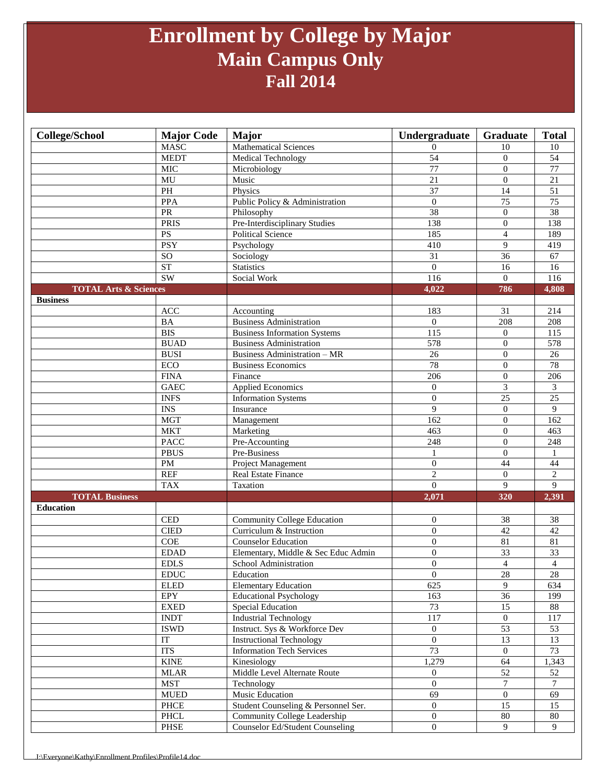### **Enrollment by College by Major Main Campus Only Fall 2014**

| <b>College/School</b>            | <b>Major Code</b>          | Major                                  | Undergraduate    | Graduate         | <b>Total</b>    |
|----------------------------------|----------------------------|----------------------------------------|------------------|------------------|-----------------|
|                                  | <b>MASC</b>                | <b>Mathematical Sciences</b>           | $\overline{0}$   | 10               | 10              |
|                                  | <b>MEDT</b>                | Medical Technology                     | 54               | $\overline{0}$   | $\overline{54}$ |
|                                  | <b>MIC</b>                 | Microbiology                           | 77               | $\theta$         | $\overline{77}$ |
|                                  | MU                         | Music                                  | 21               | $\theta$         | 21              |
|                                  | $\mathbf{PH}$              | Physics                                | 37               | 14               | $\overline{51}$ |
|                                  | <b>PPA</b>                 | Public Policy & Administration         | $\mathbf{0}$     | $\overline{75}$  | $\overline{75}$ |
|                                  | PR                         | Philosophy                             | 38               | $\Omega$         | $\overline{38}$ |
|                                  | <b>PRIS</b>                | Pre-Interdisciplinary Studies          | 138              | $\boldsymbol{0}$ | 138             |
|                                  | <b>PS</b>                  | <b>Political Science</b>               | 185              | $\overline{4}$   | 189             |
|                                  | <b>PSY</b>                 | Psychology                             | 410              | 9                | 419             |
|                                  | SO                         | Sociology                              | 31               | 36               | 67              |
|                                  | <b>ST</b>                  | <b>Statistics</b>                      | $\overline{0}$   | 16               | 16              |
|                                  | SW                         | Social Work                            | 116              | $\overline{0}$   | 116             |
| <b>TOTAL Arts &amp; Sciences</b> |                            |                                        | 4,022            | 786              | 4,808           |
| <b>Business</b>                  |                            |                                        |                  |                  |                 |
|                                  | ACC                        | Accounting                             | 183              | 31               | 214             |
|                                  | BA                         | <b>Business Administration</b>         | $\overline{0}$   | 208              | 208             |
|                                  | <b>BIS</b>                 | <b>Business Information Systems</b>    | 115              | $\overline{0}$   | 115             |
|                                  | <b>BUAD</b>                | <b>Business Administration</b>         | 578              | $\mathbf{0}$     | 578             |
|                                  | <b>BUSI</b>                | <b>Business Administration - MR</b>    | 26               | $\overline{0}$   | $\overline{26}$ |
|                                  | ECO                        | <b>Business Economics</b>              | 78               | $\overline{0}$   | 78              |
|                                  | <b>FINA</b>                | Finance                                | 206              | $\overline{0}$   | 206             |
|                                  | <b>GAEC</b>                | <b>Applied Economics</b>               | $\overline{0}$   | 3                | 3               |
|                                  | <b>INFS</b>                | <b>Information Systems</b>             | $\boldsymbol{0}$ | $\overline{25}$  | $\overline{25}$ |
|                                  | $\overline{\text{INS}}$    | Insurance                              | 9                | $\overline{0}$   | 9               |
|                                  | <b>MGT</b>                 | Management                             | 162              | $\overline{0}$   | 162             |
|                                  | <b>MKT</b>                 | Marketing                              | 463              | $\overline{0}$   | 463             |
|                                  | <b>PACC</b>                | Pre-Accounting                         | 248              | $\theta$         | 248             |
|                                  | <b>PBUS</b>                | Pre-Business                           | 1                | $\mathbf{0}$     | 1               |
|                                  | <b>PM</b>                  | Project Management                     | $\mathbf{0}$     | 44               | 44              |
|                                  | <b>REF</b>                 | Real Estate Finance                    | $\overline{c}$   | $\overline{0}$   | $\overline{c}$  |
|                                  | <b>TAX</b>                 | Taxation                               | $\Omega$         | $\overline{9}$   | 9               |
| <b>TOTAL Business</b>            |                            |                                        | 2,071            | 320              | 2,391           |
| <b>Education</b>                 |                            |                                        |                  |                  |                 |
|                                  | <b>CED</b>                 | <b>Community College Education</b>     | $\overline{0}$   | 38               | 38              |
|                                  | <b>CIED</b>                | Curriculum & Instruction               | $\overline{0}$   | 42               | 42              |
|                                  | COE                        | <b>Counselor Education</b>             | $\overline{0}$   | 81               | 81              |
|                                  | <b>EDAD</b>                | Elementary, Middle & Sec Educ Admin    | $\boldsymbol{0}$ | $\overline{33}$  | $\overline{33}$ |
|                                  | <b>EDLS</b>                | School Administration                  | $\overline{0}$   | $\overline{4}$   | $\overline{4}$  |
|                                  | <b>EDUC</b>                | Education                              | $\overline{0}$   | $28\,$           | 28              |
|                                  | <b>ELED</b>                | <b>Elementary Education</b>            | $\overline{625}$ | $\overline{9}$   | 634             |
|                                  | <b>EPY</b>                 | <b>Educational Psychology</b>          | 163              | 36               | 199             |
|                                  | ${\rm EXED}$               | <b>Special Education</b>               | 73               | 15               | 88              |
|                                  | <b>INDT</b>                | <b>Industrial Technology</b>           | 117              | $\boldsymbol{0}$ | 117             |
|                                  | <b>ISWD</b>                | Instruct. Sys & Workforce Dev          | $\overline{0}$   | $\overline{53}$  | 53              |
|                                  | $\ensuremath{\mathsf{IT}}$ | <b>Instructional Technology</b>        | $\overline{0}$   | $\overline{13}$  | $\overline{13}$ |
|                                  | <b>ITS</b>                 | <b>Information Tech Services</b>       | 73               | $\overline{0}$   | $\overline{73}$ |
|                                  | <b>KINE</b>                | Kinesiology                            | 1,279            | 64               | 1,343           |
|                                  | <b>MLAR</b>                | Middle Level Alternate Route           | $\overline{0}$   | 52               | 52              |
|                                  | <b>MST</b>                 | Technology                             | $\mathbf{0}$     | $\tau$           | $\tau$          |
|                                  | ${\tt MUED}$               | <b>Music Education</b>                 | 69               | $\boldsymbol{0}$ | 69              |
|                                  | ${\rm PHCE}$               | Student Counseling & Personnel Ser.    | $\overline{0}$   | $\overline{15}$  | 15              |
|                                  | PHCL                       | Community College Leadership           | $\overline{0}$   | 80               | 80              |
|                                  | PHSE                       | <b>Counselor Ed/Student Counseling</b> | $\overline{0}$   | 9                | 9               |
|                                  |                            |                                        |                  |                  |                 |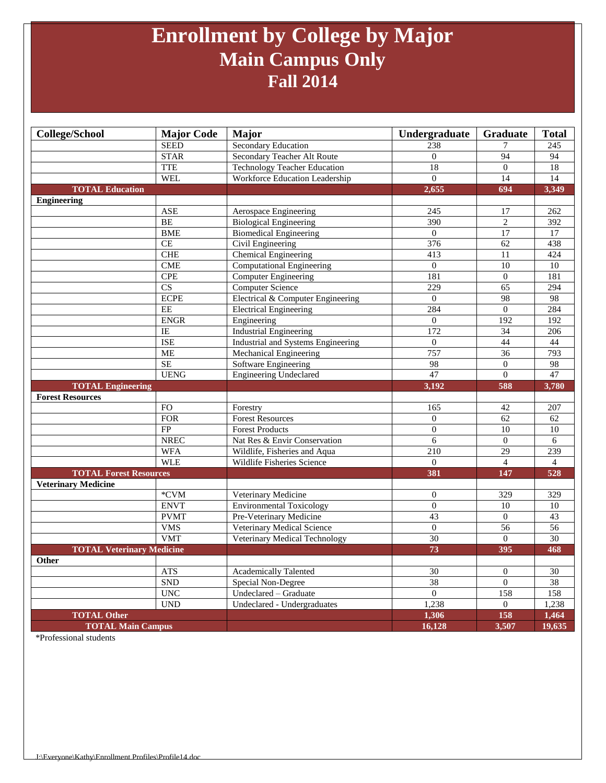### **Enrollment by College by Major Main Campus Only Fall 2014**

| <b>College/School</b>            | <b>Major Code</b>      | <b>Major</b>                              | Undergraduate    | Graduate         | <b>Total</b>    |
|----------------------------------|------------------------|-------------------------------------------|------------------|------------------|-----------------|
|                                  | <b>SEED</b>            | <b>Secondary Education</b>                | 238              | 7                | 245             |
|                                  | <b>STAR</b>            | Secondary Teacher Alt Route               | $\overline{0}$   | 94               | 94              |
|                                  | <b>TTE</b>             | <b>Technology Teacher Education</b>       | 18               | $\overline{0}$   | 18              |
|                                  | <b>WEL</b>             | Workforce Education Leadership            | $\Omega$         | 14               | $\overline{14}$ |
| <b>TOTAL Education</b>           |                        |                                           | 2,655            | 694              | 3,349           |
| <b>Engineering</b>               |                        |                                           |                  |                  |                 |
|                                  | <b>ASE</b>             | Aerospace Engineering                     | 245              | 17               | 262             |
|                                  | BE                     | <b>Biological Engineering</b>             | 390              | $\overline{c}$   | 392             |
|                                  | <b>BME</b>             | <b>Biomedical Engineering</b>             | $\overline{0}$   | 17               | 17              |
|                                  | CE                     | Civil Engineering                         | 376              | $\overline{62}$  | 438             |
|                                  | <b>CHE</b>             | Chemical Engineering                      | 413              | 11               | 424             |
|                                  | CME                    | Computational Engineering                 | $\overline{0}$   | $\overline{10}$  | 10              |
|                                  | <b>CPE</b>             | <b>Computer Engineering</b>               | 181              | $\boldsymbol{0}$ | 181             |
|                                  | $\overline{\text{CS}}$ | <b>Computer Science</b>                   | 229              | 65               | 294             |
|                                  | <b>ECPE</b>            | Electrical & Computer Engineering         | $\boldsymbol{0}$ | 98               | 98              |
|                                  | EE                     | <b>Electrical Engineering</b>             | 284              | $\overline{0}$   | 284             |
|                                  | <b>ENGR</b>            | Engineering                               | $\Omega$         | 192              | 192             |
|                                  | $\overline{IE}$        | <b>Industrial Engineering</b>             | 172              | 34               | 206             |
|                                  | <b>ISE</b>             | <b>Industrial and Systems Engineering</b> | $\overline{0}$   | 44               | 44              |
|                                  | <b>ME</b>              | Mechanical Engineering                    | 757              | $\overline{36}$  | 793             |
|                                  | <b>SE</b>              | Software Engineering                      | 98               | $\theta$         | 98              |
|                                  | <b>UENG</b>            | <b>Engineering Undeclared</b>             | 47               | $\overline{0}$   | 47              |
|                                  |                        |                                           |                  |                  |                 |
| <b>TOTAL Engineering</b>         |                        |                                           | 3,192            | 588              | 3,780           |
| <b>Forest Resources</b>          |                        |                                           |                  |                  |                 |
|                                  | <b>FO</b>              | Forestry                                  | 165              | 42               | 207             |
|                                  | <b>FOR</b>             | <b>Forest Resources</b>                   | $\theta$         | 62               | 62              |
|                                  | FP                     | <b>Forest Products</b>                    | $\overline{0}$   | 10               | $\overline{10}$ |
|                                  | <b>NREC</b>            | Nat Res & Envir Conservation              | $\sqrt{6}$       | $\boldsymbol{0}$ | 6               |
|                                  | <b>WFA</b>             | Wildlife, Fisheries and Aqua              | 210              | $\overline{29}$  | 239             |
|                                  | <b>WLE</b>             | Wildlife Fisheries Science                | $\overline{0}$   | $\overline{4}$   | $\overline{4}$  |
| <b>TOTAL Forest Resources</b>    |                        |                                           | 381              | 147              | 528             |
| <b>Veterinary Medicine</b>       |                        |                                           |                  |                  |                 |
|                                  | *CVM                   | Veterinary Medicine                       | $\overline{0}$   | 329              | 329             |
|                                  | <b>ENVT</b>            | <b>Environmental Toxicology</b>           | $\overline{0}$   | 10               | $\overline{10}$ |
|                                  | <b>PVMT</b>            | Pre-Veterinary Medicine                   | 43               | $\overline{0}$   | 43              |
|                                  | <b>VMS</b>             | Veterinary Medical Science                | $\boldsymbol{0}$ | $\overline{56}$  | $\overline{56}$ |
|                                  | <b>VMT</b>             | Veterinary Medical Technology             | 30               | $\theta$         | 30              |
| <b>TOTAL Veterinary Medicine</b> |                        |                                           | 73               | 395              | 468             |
| Other                            |                        |                                           |                  |                  |                 |
|                                  | <b>ATS</b>             | <b>Academically Talented</b>              | 30               | $\overline{0}$   | 30              |
|                                  | ${\sf SND}$            | Special Non-Degree                        | 38               | $\boldsymbol{0}$ | 38              |
|                                  | <b>UNC</b>             | Undeclared - Graduate                     | $\overline{0}$   | 158              | 158             |
|                                  | <b>UND</b>             | Undeclared - Undergraduates               | 1,238            | $\Omega$         | 1,238           |
| <b>TOTAL Other</b>               |                        |                                           | 1,306<br>16,128  | 158<br>3,507     | 1,464<br>19,635 |

\*Professional students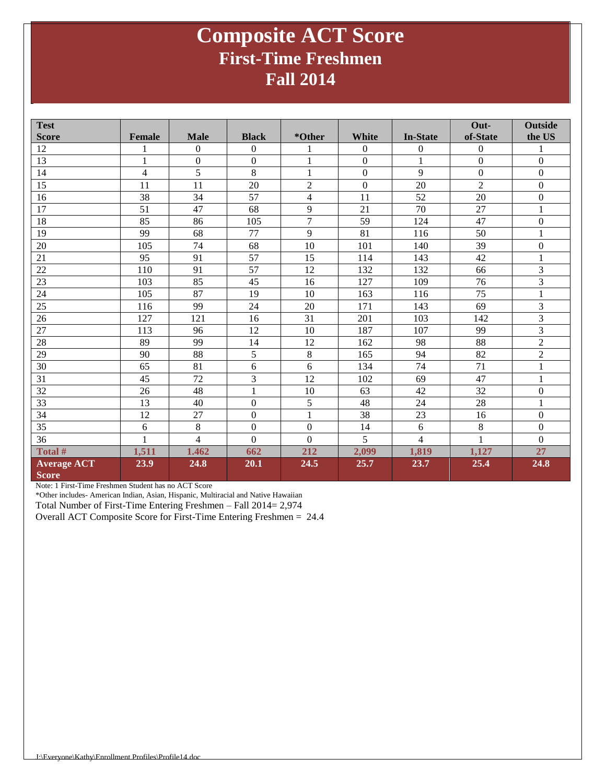### **Composite ACT Score First-Time Freshmen Fall 2014**

| <b>Test</b>        |                |                  |              |                |                  |                 | Out-             | <b>Outside</b>   |
|--------------------|----------------|------------------|--------------|----------------|------------------|-----------------|------------------|------------------|
| <b>Score</b>       | Female         | <b>Male</b>      | <b>Black</b> | *Other         | <b>White</b>     | <b>In-State</b> | of-State         | the US           |
| 12                 |                | $\boldsymbol{0}$ | $\mathbf{0}$ | 1              | $\mathbf{0}$     | $\mathbf{0}$    | $\overline{0}$   | 1                |
| 13                 | 1              | $\boldsymbol{0}$ | $\mathbf{0}$ | $\mathbf{1}$   | $\boldsymbol{0}$ | 1               | $\boldsymbol{0}$ | $\boldsymbol{0}$ |
| 14                 | $\overline{4}$ | 5                | 8            | $\,1\,$        | $\boldsymbol{0}$ | 9               | $\overline{0}$   | $\boldsymbol{0}$ |
| 15                 | 11             | 11               | 20           | $\overline{2}$ | $\boldsymbol{0}$ | 20              | $\overline{2}$   | $\boldsymbol{0}$ |
| 16                 | 38             | 34               | 57           | $\overline{4}$ | 11               | 52              | 20               | $\boldsymbol{0}$ |
| 17                 | 51             | 47               | 68           | 9              | 21               | 70              | 27               | $\mathbf{1}$     |
| 18                 | 85             | 86               | 105          | $\overline{7}$ | 59               | 124             | 47               | $\Omega$         |
| 19                 | 99             | 68               | 77           | 9              | 81               | 116             | 50               | $\mathbf{1}$     |
| 20                 | 105            | 74               | 68           | 10             | 101              | 140             | 39               | $\boldsymbol{0}$ |
| 21                 | 95             | 91               | 57           | 15             | 114              | 143             | 42               | $\mathbf{1}$     |
| 22                 | 110            | 91               | 57           | 12             | 132              | 132             | 66               | 3                |
| 23                 | 103            | 85               | 45           | 16             | 127              | 109             | 76               | 3                |
| 24                 | 105            | $\overline{87}$  | 19           | 10             | 163              | 116             | $\overline{75}$  | $\mathbf{1}$     |
| 25                 | 116            | 99               | 24           | 20             | 171              | 143             | 69               | 3                |
| 26                 | 127            | 121              | 16           | 31             | 201              | 103             | 142              | 3                |
| 27                 | 113            | 96               | 12           | 10             | 187              | 107             | 99               | $\overline{3}$   |
| 28                 | 89             | 99               | 14           | 12             | 162              | 98              | 88               | $\overline{c}$   |
| 29                 | 90             | 88               | 5            | 8              | 165              | 94              | 82               | $\overline{2}$   |
| 30                 | 65             | 81               | 6            | 6              | 134              | 74              | 71               | $\,1\,$          |
| 31                 | 45             | 72               | 3            | 12             | 102              | 69              | 47               | $\,1\,$          |
| 32                 | 26             | 48               | 1            | 10             | 63               | 42              | 32               | $\boldsymbol{0}$ |
| 33                 | 13             | 40               | $\mathbf{0}$ | 5              | 48               | 24              | 28               | $\mathbf{1}$     |
| 34                 | 12             | 27               | $\mathbf{0}$ | $\mathbf{1}$   | 38               | 23              | 16               | $\boldsymbol{0}$ |
| 35                 | 6              | 8                | $\mathbf{0}$ | $\mathbf{0}$   | 14               | 6               | 8                | $\mathbf{0}$     |
| 36                 | 1              | $\overline{4}$   | $\Omega$     | $\Omega$       | 5                | $\overline{4}$  | 1                | $\theta$         |
| Total #            | 1,511          | 1.462            | 662          | 212            | 2,099            | 1,819           | 1,127            | 27               |
| <b>Average ACT</b> | 23.9           | 24.8             | 20.1         | 24.5           | 25.7             | 23.7            | 25.4             | 24.8             |
| <b>Score</b>       |                |                  |              |                |                  |                 |                  |                  |

Note: 1 First-Time Freshmen Student has no ACT Score

\*Other includes- American Indian, Asian, Hispanic, Multiracial and Native Hawaiian

Total Number of First-Time Entering Freshmen – Fall 2014= 2,974

Overall ACT Composite Score for First-Time Entering Freshmen = 24.4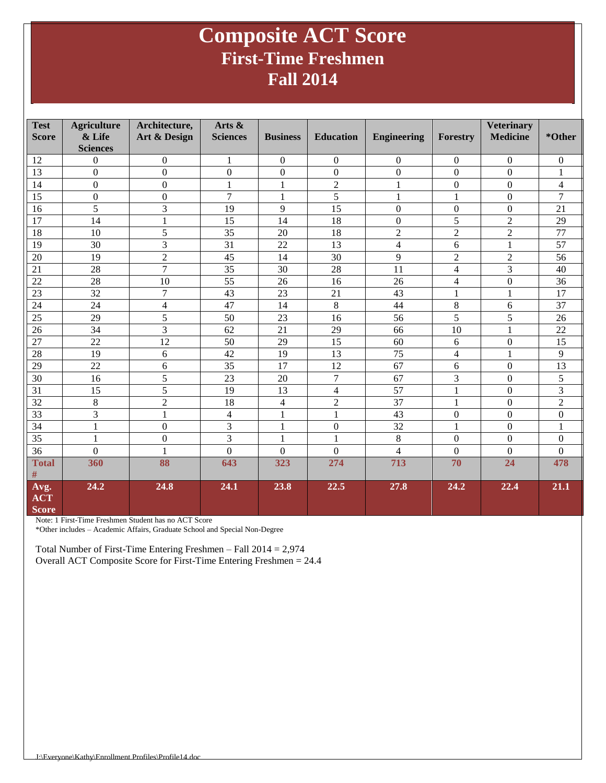### **Composite ACT Score First-Time Freshmen Fall 2014**

| <b>Test</b><br><b>Score</b>        | <b>Agriculture</b><br>& Life<br><b>Sciences</b> | Architecture,<br>Art & Design | Arts &<br><b>Sciences</b> | <b>Business</b> | <b>Education</b> | <b>Engineering</b> | <b>Forestry</b>         | <b>Veterinary</b><br><b>Medicine</b> | *Other                   |
|------------------------------------|-------------------------------------------------|-------------------------------|---------------------------|-----------------|------------------|--------------------|-------------------------|--------------------------------------|--------------------------|
| 12                                 | $\overline{0}$                                  | $\boldsymbol{0}$              | 1                         | $\mathbf{0}$    | $\boldsymbol{0}$ | $\boldsymbol{0}$   | $\mathbf{0}$            | $\mathbf{0}$                         | $\mathbf{0}$             |
| 13                                 | $\overline{0}$                                  | $\overline{0}$                | $\overline{0}$            | $\overline{0}$  | $\overline{0}$   | $\overline{0}$     | $\theta$                | $\Omega$                             | $\mathbf{1}$             |
| 14                                 | $\mathbf{0}$                                    | $\overline{0}$                | $\mathbf{1}$              | $\mathbf{1}$    | $\sqrt{2}$       | $\mathbf{1}$       | $\overline{0}$          | $\overline{0}$                       | $\overline{\mathcal{L}}$ |
| 15                                 | $\boldsymbol{0}$                                | $\boldsymbol{0}$              | $\overline{7}$            | $\mathbf{1}$    | 5                | 1                  | 1                       | $\Omega$                             | 7                        |
| 16                                 | 5                                               | 3                             | 19                        | 9               | $\overline{15}$  | $\boldsymbol{0}$   | $\boldsymbol{0}$        | $\Omega$                             | 21                       |
| 17                                 | 14                                              | 1                             | 15                        | 14              | 18               | $\boldsymbol{0}$   | 5                       | $\overline{2}$                       | 29                       |
| 18                                 | 10                                              | $\overline{5}$                | $\overline{35}$           | 20              | 18               | $\overline{2}$     | $\overline{2}$          | $\overline{2}$                       | 77                       |
| 19                                 | 30                                              | 3                             | 31                        | 22              | 13               | $\overline{4}$     | 6                       | $\mathbf{1}$                         | 57                       |
| 20                                 | 19                                              | $\overline{2}$                | 45                        | 14              | 30               | 9                  | $\overline{2}$          | $\overline{2}$                       | 56                       |
| 21                                 | 28                                              | $\overline{7}$                | 35                        | 30              | $\overline{28}$  | 11                 | $\overline{4}$          | $\overline{3}$                       | 40                       |
| 22                                 | 28                                              | 10                            | 55                        | 26              | 16               | 26                 | $\overline{\mathbf{4}}$ | $\mathbf{0}$                         | 36                       |
| 23                                 | 32                                              | $\overline{7}$                | 43                        | 23              | 21               | 43                 | 1                       |                                      | 17                       |
| 24                                 | 24                                              | $\overline{\mathcal{L}}$      | 47                        | 14              | 8                | 44                 | $8\,$                   | 6                                    | 37                       |
| 25                                 | 29                                              | 5                             | 50                        | 23              | 16               | 56                 | 5                       | 5                                    | 26                       |
| 26                                 | 34                                              | $\overline{3}$                | 62                        | 21              | 29               | 66                 | 10                      |                                      | 22                       |
| 27                                 | 22                                              | 12                            | 50                        | 29              | 15               | 60                 | 6                       | $\boldsymbol{0}$                     | 15                       |
| 28                                 | 19                                              | 6                             | 42                        | 19              | 13               | 75                 | $\overline{\mathbf{4}}$ | 1                                    | 9                        |
| 29                                 | 22                                              | 6                             | 35                        | 17              | 12               | 67                 | 6                       | $\overline{0}$                       | 13                       |
| $\overline{30}$                    | 16                                              | $\overline{5}$                | 23                        | 20              | $\overline{7}$   | 67                 | 3                       | $\overline{0}$                       | $\overline{5}$           |
| 31                                 | 15                                              | 5                             | 19                        | 13              | $\overline{4}$   | 57                 | $\mathbf{1}$            | $\Omega$                             | 3                        |
| 32                                 | 8                                               | $\overline{2}$                | 18                        | $\overline{4}$  | $\overline{c}$   | 37                 | 1                       | $\overline{0}$                       | $\overline{2}$           |
| 33                                 | 3                                               | $\mathbf{1}$                  | $\overline{4}$            | $\mathbf{1}$    | $\mathbf{1}$     | 43                 | $\mathbf{0}$            | $\mathbf{0}$                         | $\overline{0}$           |
| 34                                 | $\mathbf{1}$                                    | $\boldsymbol{0}$              | 3                         | $\mathbf{1}$    | $\overline{0}$   | 32                 | 1                       | $\overline{0}$                       | $\mathbf{1}$             |
| 35                                 | $\mathbf{1}$                                    | $\boldsymbol{0}$              | 3                         | $\mathbf{1}$    | $\mathbf{1}$     | 8                  | $\mathbf{0}$            | $\mathbf{0}$                         | $\boldsymbol{0}$         |
| 36                                 | $\theta$                                        | $\mathbf{1}$                  | $\overline{0}$            | $\overline{0}$  | $\overline{0}$   | $\overline{4}$     | $\overline{0}$          | $\overline{0}$                       | $\overline{0}$           |
| <b>Total</b>                       | 360                                             | 88                            | 643                       | 323             | 274              | 713                | 70                      | 24                                   | 478                      |
| $\#$                               |                                                 |                               |                           |                 |                  |                    |                         |                                      |                          |
| Avg.<br><b>ACT</b><br><b>Score</b> | 24.2                                            | 24.8                          | 24.1                      | 23.8            | 22.5             | 27.8               | 24.2                    | 22.4                                 | 21.1                     |

Note: 1 First-Time Freshmen Student has no ACT Score

\*Other includes – Academic Affairs, Graduate School and Special Non-Degree

Total Number of First-Time Entering Freshmen – Fall 2014 = 2,974 Overall ACT Composite Score for First-Time Entering Freshmen = 24.4